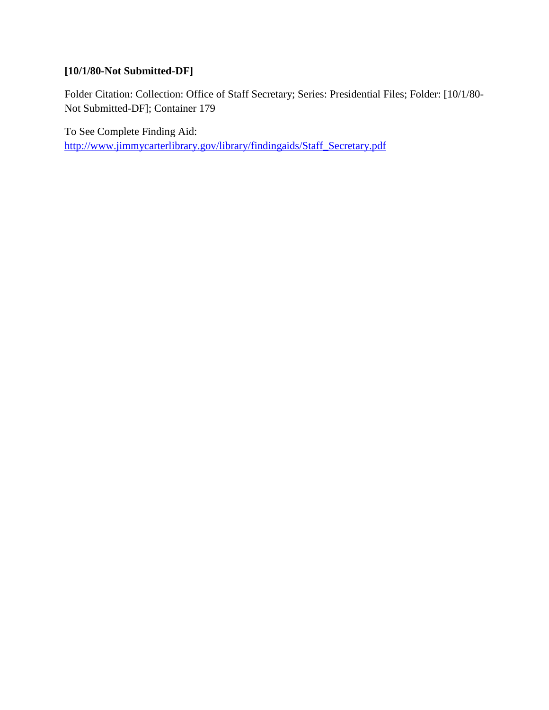## **[10/1/80-Not Submitted-DF]**

Folder Citation: Collection: Office of Staff Secretary; Series: Presidential Files; Folder: [10/1/80- Not Submitted-DF]; Container 179

To See Complete Finding Aid: [http://www.jimmycarterlibrary.gov/library/findingaids/Staff\\_Secretary.pdf](http://www.jimmycarterlibrary.gov/library/findingaids/Staff_Secretary.pdf)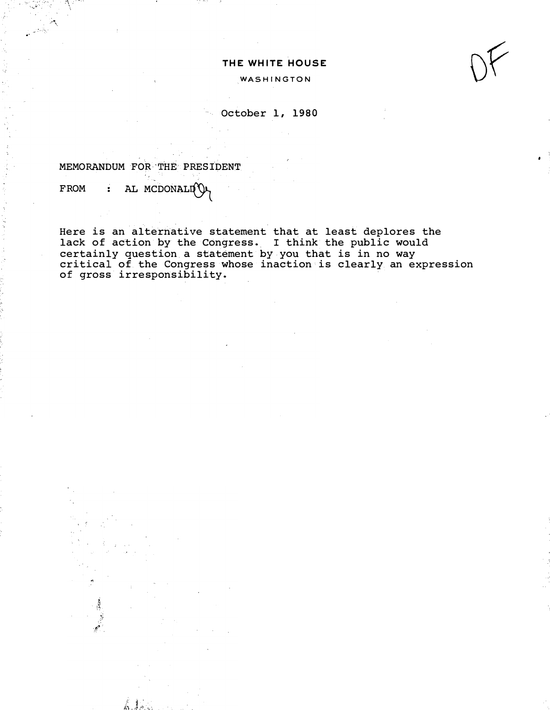## THE WHITE HOUSE

WASHINGTON



October 1, 1980

MEMORANDUM FOR-THE PRESIDENT

 $FROM$  : AL MCDONALLI $\mathcal{O}$ 

 $\frac{3}{2}$ 

 $: -1$ 

 $\Lambda$  . . . .

Here is an alternative statement that at least deplores the lack of action by the Congress. I think the public would certainly question a statement by you that is in no way critical of the Congress whose inaction is clearly an expression of gross irresponsibility.